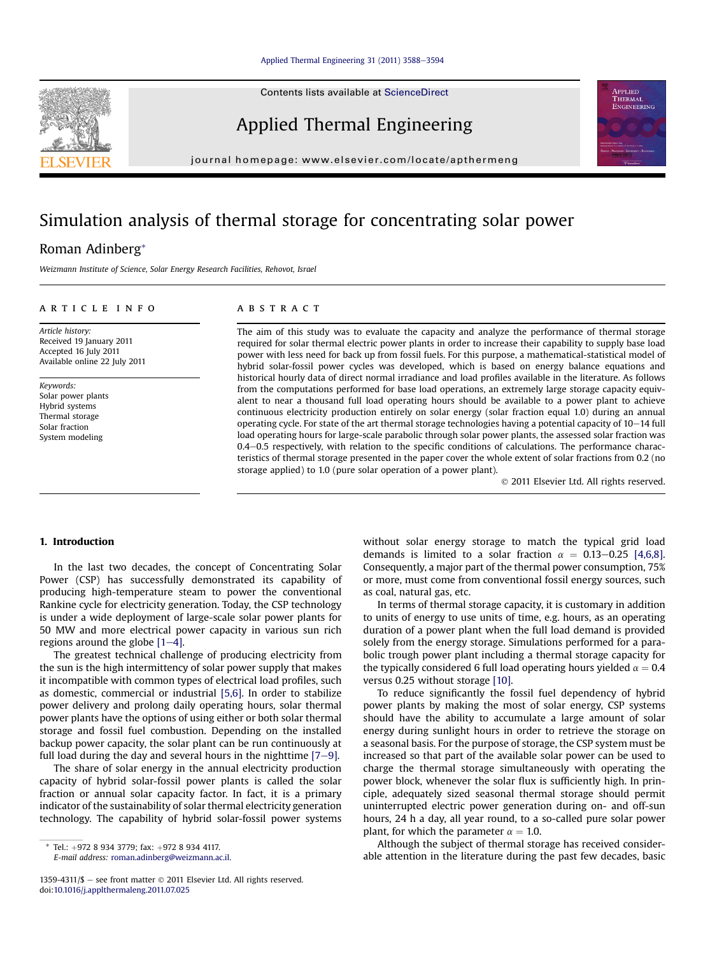Contents lists available at ScienceDirect

## Applied Thermal Engineering

journal homepage: [www.elsevier.com/locate/apthermeng](http://www.elsevier.com/locate/apthermeng)

# Simulation analysis of thermal storage for concentrating solar power

### Roman Adinberg\*

Weizmann Institute of Science, Solar Energy Research Facilities, Rehovot, Israel

#### article info

Article history: Received 19 January 2011 Accepted 16 July 2011 Available online 22 July 2011

Keywords: Solar power plants Hybrid systems Thermal storage Solar fraction System modeling

#### **ABSTRACT**

The aim of this study was to evaluate the capacity and analyze the performance of thermal storage required for solar thermal electric power plants in order to increase their capability to supply base load power with less need for back up from fossil fuels. For this purpose, a mathematical-statistical model of hybrid solar-fossil power cycles was developed, which is based on energy balance equations and historical hourly data of direct normal irradiance and load profiles available in the literature. As follows from the computations performed for base load operations, an extremely large storage capacity equivalent to near a thousand full load operating hours should be available to a power plant to achieve continuous electricity production entirely on solar energy (solar fraction equal 1.0) during an annual operating cycle. For state of the art thermal storage technologies having a potential capacity of  $10-14$  full load operating hours for large-scale parabolic through solar power plants, the assessed solar fraction was 0.4-0.5 respectively, with relation to the specific conditions of calculations. The performance characteristics of thermal storage presented in the paper cover the whole extent of solar fractions from 0.2 (no storage applied) to 1.0 (pure solar operation of a power plant).

2011 Elsevier Ltd. All rights reserved.

APPLIED THERMAL ENGINEERING

### 1. Introduction

In the last two decades, the concept of Concentrating Solar Power (CSP) has successfully demonstrated its capability of producing high-temperature steam to power the conventional Rankine cycle for electricity generation. Today, the CSP technology is under a wide deployment of large-scale solar power plants for 50 MW and more electrical power capacity in various sun rich regions around the globe  $[1-4]$  $[1-4]$  $[1-4]$ .

The greatest technical challenge of producing electricity from the sun is the high intermittency of solar power supply that makes it incompatible with common types of electrical load profiles, such as domestic, commercial or industrial [\[5,6\].](#page--1-0) In order to stabilize power delivery and prolong daily operating hours, solar thermal power plants have the options of using either or both solar thermal storage and fossil fuel combustion. Depending on the installed backup power capacity, the solar plant can be run continuously at full load during the day and several hours in the nighttime  $[7-9]$  $[7-9]$  $[7-9]$ .

The share of solar energy in the annual electricity production capacity of hybrid solar-fossil power plants is called the solar fraction or annual solar capacity factor. In fact, it is a primary indicator of the sustainability of solar thermal electricity generation technology. The capability of hybrid solar-fossil power systems

E-mail address: [roman.adinberg@weizmann.ac.il.](mailto:roman.adinberg@weizmann.ac.il)

without solar energy storage to match the typical grid load demands is limited to a solar fraction  $\alpha = 0.13-0.25$  [\[4,6,8\].](#page--1-0) Consequently, a major part of the thermal power consumption, 75% or more, must come from conventional fossil energy sources, such as coal, natural gas, etc.

In terms of thermal storage capacity, it is customary in addition to units of energy to use units of time, e.g. hours, as an operating duration of a power plant when the full load demand is provided solely from the energy storage. Simulations performed for a parabolic trough power plant including a thermal storage capacity for the typically considered 6 full load operating hours yielded  $\alpha = 0.4$ versus 0.25 without storage [\[10\]](#page--1-0).

To reduce significantly the fossil fuel dependency of hybrid power plants by making the most of solar energy, CSP systems should have the ability to accumulate a large amount of solar energy during sunlight hours in order to retrieve the storage on a seasonal basis. For the purpose of storage, the CSP system must be increased so that part of the available solar power can be used to charge the thermal storage simultaneously with operating the power block, whenever the solar flux is sufficiently high. In principle, adequately sized seasonal thermal storage should permit uninterrupted electric power generation during on- and off-sun hours, 24 h a day, all year round, to a so-called pure solar power plant, for which the parameter  $\alpha = 1.0$ .

Although the subject of thermal storage has received considerable attention in the literature during the past few decades, basic



Tel.: +972 8 934 3779; fax: +972 8 934 4117.

<sup>1359-4311/\$</sup>  $-$  see front matter  $\odot$  2011 Elsevier Ltd. All rights reserved. doi:[10.1016/j.applthermaleng.2011.07.025](http://dx.doi.org/10.1016/j.applthermaleng.2011.07.025)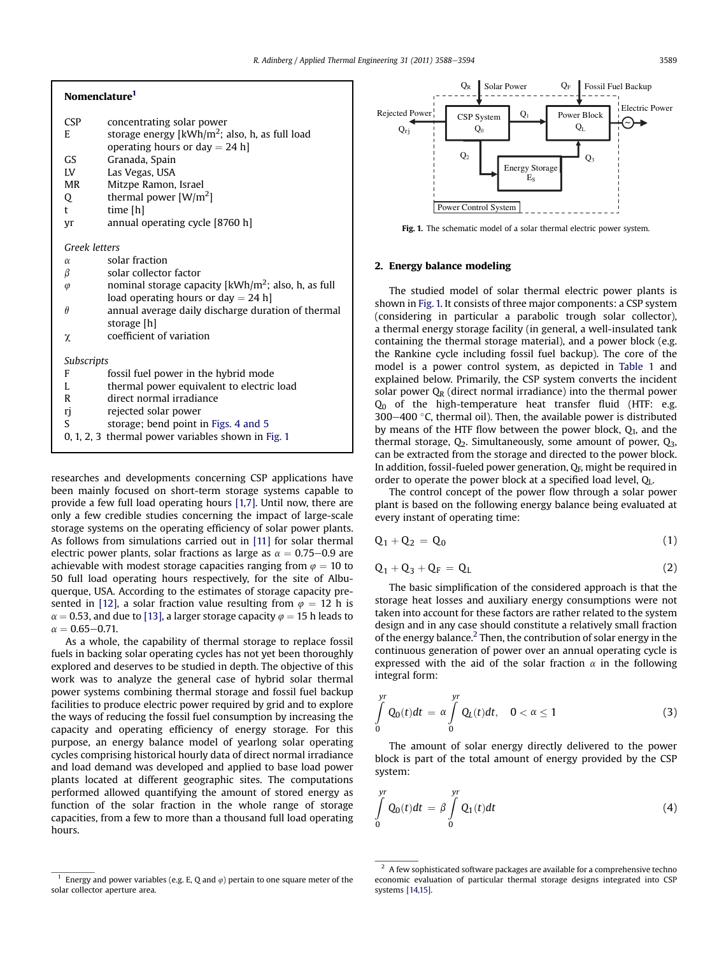### Nomenclature1

| <b>CSP</b>    | concentrating solar power                                                  |
|---------------|----------------------------------------------------------------------------|
| E             | storage energy [kWh/m <sup>2</sup> ; also, h, as full load                 |
|               | operating hours or day $= 24$ h]                                           |
| GS            | Granada, Spain                                                             |
| LV            | Las Vegas, USA                                                             |
| <b>MR</b>     | Mitzpe Ramon, Israel                                                       |
| Q             | thermal power $[W/m^2]$                                                    |
| t             | time [h]                                                                   |
| Vr            | annual operating cycle [8760 h]                                            |
| Greek letters |                                                                            |
|               |                                                                            |
| $\alpha$      | solar fraction                                                             |
| β             | solar collector factor                                                     |
| $\varphi$     | nominal storage capacity $\left[\frac{kWh}{m^2}\right]$ ; also, h, as full |
|               | load operating hours or day $= 24$ h                                       |
| $\theta$      | annual average daily discharge duration of thermal                         |
|               | storage [h]                                                                |
| χ             | coefficient of variation                                                   |
| Subscripts    |                                                                            |
| F             | fossil fuel power in the hybrid mode                                       |
| L             | thermal power equivalent to electric load                                  |
| R             | direct normal irradiance                                                   |
|               |                                                                            |
| rj<br>S       | rejected solar power                                                       |
|               | storage; bend point in Figs. 4 and 5                                       |
|               | 0, 1, 2, 3 thermal power variables shown in Fig. 1                         |

researches and developments concerning CSP applications have been mainly focused on short-term storage systems capable to provide a few full load operating hours [\[1,7\]](#page--1-0). Until now, there are only a few credible studies concerning the impact of large-scale storage systems on the operating efficiency of solar power plants. As follows from simulations carried out in [\[11\]](#page--1-0) for solar thermal electric power plants, solar fractions as large as  $\alpha = 0.75 - 0.9$  are achievable with modest storage capacities ranging from  $\varphi = 10$  to 50 full load operating hours respectively, for the site of Albuquerque, USA. According to the estimates of storage capacity pre-sented in [\[12\]](#page--1-0), a solar fraction value resulting from  $\varphi = 12$  h is  $\alpha$  = 0.53, and due to [\[13\]](#page--1-0), a larger storage capacity  $\varphi$  = 15 h leads to  $\alpha = 0.65 - 0.71.$ 

As a whole, the capability of thermal storage to replace fossil fuels in backing solar operating cycles has not yet been thoroughly explored and deserves to be studied in depth. The objective of this work was to analyze the general case of hybrid solar thermal power systems combining thermal storage and fossil fuel backup facilities to produce electric power required by grid and to explore the ways of reducing the fossil fuel consumption by increasing the capacity and operating efficiency of energy storage. For this purpose, an energy balance model of yearlong solar operating cycles comprising historical hourly data of direct normal irradiance and load demand was developed and applied to base load power plants located at different geographic sites. The computations performed allowed quantifying the amount of stored energy as function of the solar fraction in the whole range of storage capacities, from a few to more than a thousand full load operating hours.



Fig. 1. The schematic model of a solar thermal electric power system.

#### 2. Energy balance modeling

The studied model of solar thermal electric power plants is shown in Fig. 1. It consists of three major components: a CSP system (considering in particular a parabolic trough solar collector), a thermal energy storage facility (in general, a well-insulated tank containing the thermal storage material), and a power block (e.g. the Rankine cycle including fossil fuel backup). The core of the model is a power control system, as depicted in [Table 1](#page--1-0) and explained below. Primarily, the CSP system converts the incident solar power  $Q_R$  (direct normal irradiance) into the thermal power  $Q_0$  of the high-temperature heat transfer fluid (HTF: e.g.  $300-400$  °C, thermal oil). Then, the available power is distributed by means of the HTF flow between the power block,  $Q_1$ , and the thermal storage,  $Q_2$ . Simultaneously, some amount of power,  $Q_3$ , can be extracted from the storage and directed to the power block. In addition, fossil-fueled power generation,  $Q_F$ , might be required in order to operate the power block at a specified load level, QL.

The control concept of the power flow through a solar power plant is based on the following energy balance being evaluated at every instant of operating time:

$$
\mathbf{Q}_1 + \mathbf{Q}_2 = \mathbf{Q}_0 \tag{1}
$$

$$
Q_1 + Q_3 + Q_F = Q_L \tag{2}
$$

The basic simplification of the considered approach is that the storage heat losses and auxiliary energy consumptions were not taken into account for these factors are rather related to the system design and in any case should constitute a relatively small fraction of the energy balance.<sup>2</sup> Then, the contribution of solar energy in the continuous generation of power over an annual operating cycle is expressed with the aid of the solar fraction  $\alpha$  in the following integral form:

$$
\int_{0}^{yr} Q_0(t)dt = \alpha \int_{0}^{yr} Q_L(t)dt, \quad 0 < \alpha \le 1
$$
\n(3)

The amount of solar energy directly delivered to the power block is part of the total amount of energy provided by the CSP system:

$$
\int_{0}^{yr} Q_0(t)dt = \beta \int_{0}^{yr} Q_1(t)dt
$$
\n(4)

Energy and power variables (e.g. E, Q and  $\varphi$ ) pertain to one square meter of the solar collector aperture area.

 $2\,$  A few sophisticated software packages are available for a comprehensive techno economic evaluation of particular thermal storage designs integrated into CSP systems [\[14,15\].](#page--1-0)